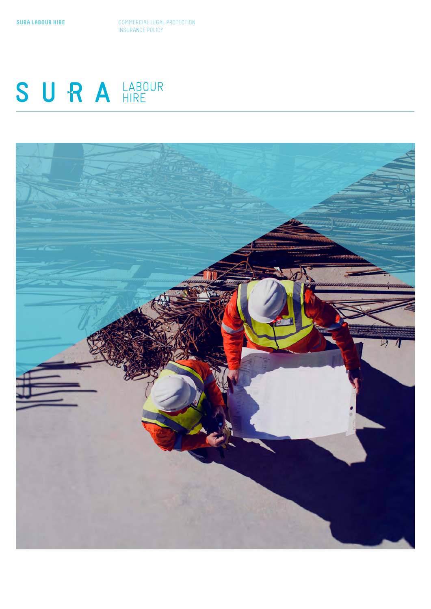**SURA LABOUR HIRE** COMMERCIAL LEGAL PROTECTION **INSURANCE POLICY** 

# SURAHRE

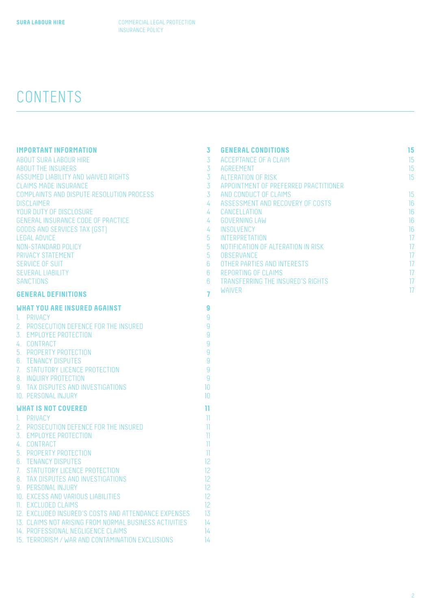## CONTENTS

| <b>IMPORTANT INFORMATION</b>                           | $\overline{3}$  | <b>GENERAL CONDITIONS</b>             | 15              |
|--------------------------------------------------------|-----------------|---------------------------------------|-----------------|
| <b>ABOUT SURA LABOUR HIRE</b>                          | $\overline{3}$  | ACCEPTANCE OF A CLAIM                 | 15              |
| <b>ABOUT THE INSURERS</b>                              | 3 <sup>7</sup>  | AGREEMENT                             | 15              |
| ASSUMED LIABILITY AND WAIVED RIGHTS                    | 3 <sup>7</sup>  | ALTERATION OF RISK                    | 15              |
| <b>CLAIMS MADE INSURANCE</b>                           | 3 <sup>7</sup>  | APPOINTMENT OF PREFERRED PRACTITIONER |                 |
| COMPLAINTS AND DISPUTE RESOLUTION PROCESS              | 3 <sup>7</sup>  | AND CONDUCT OF CLAIMS                 | 15              |
| <b>DISCLAIMER</b>                                      | $\overline{4}$  | ASSESSMENT AND RECOVERY OF COSTS      | 16              |
| YOUR DUTY OF DISCLOSURE                                | $\overline{4}$  | CANCELLATION                          | 16              |
| GENERAL INSURANCE CODE OF PRACTICE                     | $\frac{1}{4}$   | <b>GOVERNING LAW</b>                  | 16              |
| GOODS AND SERVICES TAX (GST)                           | $\frac{1}{4}$   | INSOLVENCY                            | 16              |
| <b>LEGAL ADVICE</b>                                    | 5 <sup>5</sup>  | INTERPRETATION                        | $\overline{17}$ |
| NON-STANDARD POLICY                                    | 5               | NOTIFICATION OF ALTERATION IN RISK    | $\overline{17}$ |
| PRIVACY STATEMENT                                      | 5 <sup>5</sup>  | <b>OBSERVANCE</b>                     | $\overline{17}$ |
| SERVICE OF SUIT                                        | $6\overline{6}$ | OTHER PARTIES AND INTERESTS           | $\overline{17}$ |
| SEVERAL LIABILITY                                      | $6\phantom{1}$  | <b>REPORTING OF CLAIMS</b>            | $\overline{17}$ |
| <b>SANCTIONS</b>                                       | $6^{\circ}$     | TRANSFERRING THE INSURED'S RIGHTS     | $\overline{17}$ |
|                                                        | $\overline{7}$  | <b>WAIVER</b>                         | $\overline{17}$ |
| <b>GENERAL DEFINITIONS</b>                             |                 |                                       |                 |
| <b>WHAT YOU ARE INSURED AGAINST</b>                    | $\overline{9}$  |                                       |                 |
| 1. PRIVACY                                             | 9               |                                       |                 |
| 2. PROSECUTION DEFENCE FOR THE INSURED                 | 9               |                                       |                 |
| 3. EMPLOYEE PROTECTION                                 | 9               |                                       |                 |
| 4. CONTRACT                                            | 9               |                                       |                 |
| 5. PROPERTY PROTECTION                                 | 9               |                                       |                 |
| 6. TENANCY DISPUTES                                    | 9               |                                       |                 |
| 7. STATUTORY LICENCE PROTECTION                        | $\overline{9}$  |                                       |                 |
| 8. INQUIRY PROTECTION                                  | $\overline{9}$  |                                       |                 |
| 9. TAX DISPUTES AND INVESTIGATIONS                     | 10              |                                       |                 |
| 10. PERSONAL INJURY                                    | 10              |                                       |                 |
|                                                        |                 |                                       |                 |
| <b>WHAT IS NOT COVERED</b>                             | $\mathbf{H}$    |                                       |                 |
| 1. PRIVACY                                             | $\mathbb{I}$    |                                       |                 |
| 2. PROSECUTION DEFENCE FOR THE INSURED                 | $\mathbb{I}$    |                                       |                 |
| 3. EMPLOYEE PROTECTION                                 | $\mathbb{I}$    |                                       |                 |
| 4. CONTRACT                                            | $\mathbb{I}$    |                                       |                 |
| 5. PROPERTY PROTECTION                                 | $\mathbb{I}$    |                                       |                 |
| <b>6. TENANCY DISPUTES</b>                             | 12              |                                       |                 |
| 7. STATUTORY LICENCE PROTECTION                        | 12              |                                       |                 |
| 8. TAX DISPUTES AND INVESTIGATIONS                     | 12              |                                       |                 |
| 9. PERSONAL INJURY                                     | 12              |                                       |                 |
| 10. EXCESS AND VARIOUS LIABILITIES                     | 12              |                                       |                 |
| 11. EXCLUDED CLAIMS                                    | 12              |                                       |                 |
| 12. EXCLUDED INSURED'S COSTS AND ATTENDANCE EXPENSES   | 13              |                                       |                 |
| 13. CLAIMS NOT ARISING FROM NORMAL BUSINESS ACTIVITIES | 14              |                                       |                 |
| 14. PROFESSIONAL NEGLIGENCE CLAIMS                     | 14              |                                       |                 |
| 15. TERRORISM / WAR AND CONTAMINATION EXCLUSIONS       | 14              |                                       |                 |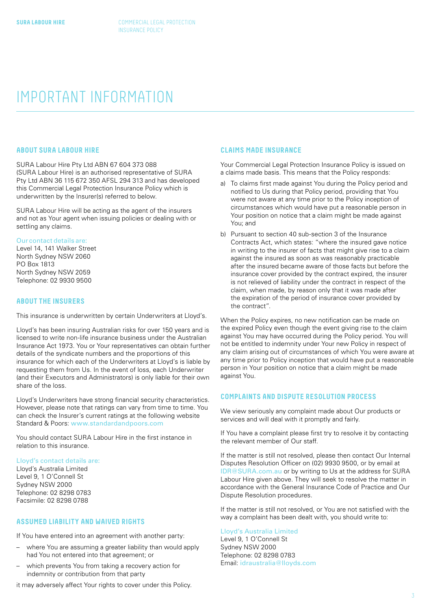### <span id="page-2-0"></span>IMPORTANT INFORMATION

#### **ABOUT SURA LABOUR HIRE**

SURA Labour Hire Pty Ltd ABN 67 604 373 088 (SURA Labour Hire) is an authorised representative of SURA Pty Ltd ABN 36 115 672 350 AFSL 294 313 and has developed this Commercial Legal Protection Insurance Policy which is underwritten by the Insurer(s) referred to below.

SURA Labour Hire will be acting as the agent of the insurers and not as Your agent when issuing policies or dealing with or settling any claims.

#### Our contact details are:

Level 14, 141 Walker Street North Sydney NSW 2060 PO Box 1813 North Sydney NSW 2059 Telephone: 02 9930 9500

#### **ABOUT THE INSURERS**

This insurance is underwritten by certain Underwriters at Lloyd's.

Lloyd's has been insuring Australian risks for over 150 years and is licensed to write non-life insurance business under the Australian Insurance Act 1973. You or Your representatives can obtain further details of the syndicate numbers and the proportions of this insurance for which each of the Underwriters at Lloyd's is liable by requesting them from Us. In the event of loss, each Underwriter (and their Executors and Administrators) is only liable for their own share of the loss.

Lloyd's Underwriters have strong financial security characteristics. However, please note that ratings can vary from time to time. You can check the Insurer's current ratings at the following website Standard & Poors: [www.standardandpoors.com](http://www.standardandpoors.com)

You should contact SURA Labour Hire in the first instance in relation to this insurance.

#### Lloyd's contact details are:

Lloyd's Australia Limited Level 9, 1 O'Connell St Sydney NSW 2000 Telephone: 02 8298 0783 Facsimile: 02 8298 0788

#### **ASSUMED LIABILITY AND WAIVED RIGHTS**

If You have entered into an agreement with another party:

- where You are assuming a greater liability than would apply had You not entered into that agreement; or
- which prevents You from taking a recovery action for indemnity or contribution from that party

it may adversely affect Your rights to cover under this Policy.

#### **CLAIMS MADE INSURANCE**

Your Commercial Legal Protection Insurance Policy is issued on a claims made basis. This means that the Policy responds:

- a) To claims first made against You during the Policy period and notified to Us during that Policy period, providing that You were not aware at any time prior to the Policy inception of circumstances which would have put a reasonable person in Your position on notice that a claim might be made against You; and
- b) Pursuant to section 40 sub-section 3 of the Insurance Contracts Act, which states: "where the insured gave notice in writing to the insurer of facts that might give rise to a claim against the insured as soon as was reasonably practicable after the insured became aware of those facts but before the insurance cover provided by the contract expired, the insurer is not relieved of liability under the contract in respect of the claim, when made, by reason only that it was made after the expiration of the period of insurance cover provided by the contract".

When the Policy expires, no new notification can be made on the expired Policy even though the event giving rise to the claim against You may have occurred during the Policy period. You will not be entitled to indemnity under Your new Policy in respect of any claim arising out of circumstances of which You were aware at any time prior to Policy inception that would have put a reasonable person in Your position on notice that a claim might be made against You.

#### **COMPLAINTS AND DISPUTE RESOLUTION PROCESS**

We view seriously any complaint made about Our products or services and will deal with it promptly and fairly.

If You have a complaint please first try to resolve it by contacting the relevant member of Our staff.

If the matter is still not resolved, please then contact Our Internal Disputes Resolution Officer on (02) 9930 9500, or by email at [IDR@SURA.com.au](mailto:IDR%40SURA.com.au?subject=) or by writing to Us at the address for SURA Labour Hire given above. They will seek to resolve the matter in accordance with the General Insurance Code of Practice and Our Dispute Resolution procedures.

If the matter is still not resolved, or You are not satisfied with the way a complaint has been dealt with, you should write to:

#### Lloyd's Australia Limited

Level 9, 1 O'Connell St Sydney NSW 2000 Telephone: 02 8298 0783 Email: [idraustralia@lloyds.com](mailto:idraustralia%40lloyds.com?subject=)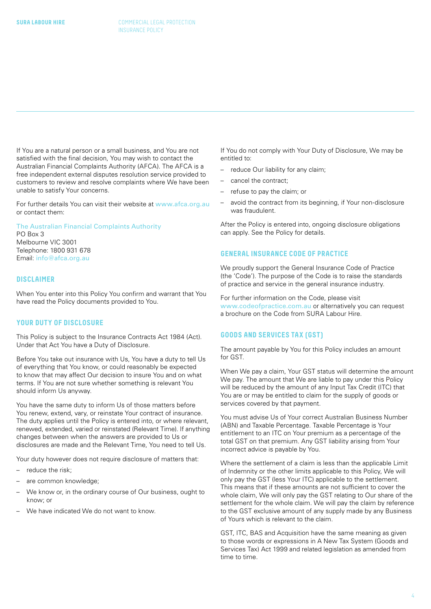<span id="page-3-0"></span>If You are a natural person or a small business, and You are not satisfied with the final decision, You may wish to contact the Australian Financial Complaints Authority (AFCA). The AFCA is a free independent external disputes resolution service provided to customers to review and resolve complaints where We have been unable to satisfy Your concerns.

For further details You can visit their website at [www.afca.org.au](http://www.afca.org.au) or contact them:

#### The Australian Financial Complaints Authority

PO Box 3 Melbourne VIC 3001 Telephone: 1800 931 678 Email: [info@afca.org.au](mailto:info%40afca.org.au?subject=)

#### **DISCLAIMER**

When You enter into this Policy You confirm and warrant that You have read the Policy documents provided to You.

#### **YOUR DUTY OF DISCLOSURE**

This Policy is subject to the Insurance Contracts Act 1984 (Act). Under that Act You have a Duty of Disclosure.

Before You take out insurance with Us, You have a duty to tell Us of everything that You know, or could reasonably be expected to know that may affect Our decision to insure You and on what terms. If You are not sure whether something is relevant You should inform Us anyway.

You have the same duty to inform Us of those matters before You renew, extend, vary, or reinstate Your contract of insurance. The duty applies until the Policy is entered into, or where relevant, renewed, extended, varied or reinstated (Relevant Time). If anything changes between when the answers are provided to Us or disclosures are made and the Relevant Time, You need to tell Us.

Your duty however does not require disclosure of matters that:

- reduce the risk;
- are common knowledge;
- We know or, in the ordinary course of Our business, ought to know; or
- We have indicated We do not want to know.

If You do not comply with Your Duty of Disclosure, We may be entitled to:

- reduce Our liability for any claim;
- cancel the contract;
- refuse to pay the claim; or
- avoid the contract from its beginning, if Your non-disclosure was fraudulent.

After the Policy is entered into, ongoing disclosure obligations can apply. See the Policy for details.

#### **GENERAL INSURANCE CODE OF PRACTICE**

We proudly support the General Insurance Code of Practice (the 'Code'). The purpose of the Code is to raise the standards of practice and service in the general insurance industry.

For further information on the Code, please visit [www.codeofpractice.com.au](http://www.codeofpractice.com.au) or alternatively you can request a brochure on the Code from SURA Labour Hire.

#### **GOODS AND SERVICES TAX (GST)**

The amount payable by You for this Policy includes an amount for GST.

When We pay a claim, Your GST status will determine the amount We pay. The amount that We are liable to pay under this Policy will be reduced by the amount of any Input Tax Credit (ITC) that You are or may be entitled to claim for the supply of goods or services covered by that payment.

You must advise Us of Your correct Australian Business Number (ABN) and Taxable Percentage. Taxable Percentage is Your entitlement to an ITC on Your premium as a percentage of the total GST on that premium. Any GST liability arising from Your incorrect advice is payable by You.

Where the settlement of a claim is less than the applicable Limit of Indemnity or the other limits applicable to this Policy, We will only pay the GST (less Your ITC) applicable to the settlement. This means that if these amounts are not sufficient to cover the whole claim, We will only pay the GST relating to Our share of the settlement for the whole claim. We will pay the claim by reference to the GST exclusive amount of any supply made by any Business of Yours which is relevant to the claim.

GST, ITC, BAS and Acquisition have the same meaning as given to those words or expressions in A New Tax System (Goods and Services Tax) Act 1999 and related legislation as amended from time to time.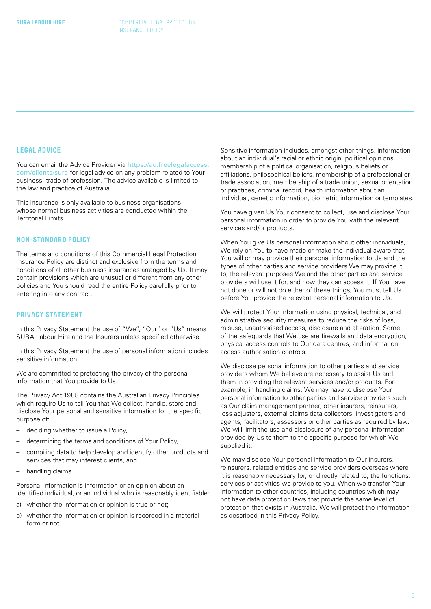#### <span id="page-4-0"></span>**LEGAL ADVICE**

You can email the Advice Provider via [https://au.freelegalaccess.](https://au.freelegalaccess.com/clients/sura) [com/clients/sura](https://au.freelegalaccess.com/clients/sura) for legal advice on any problem related to Your business, trade of profession. The advice available is limited to the law and practice of Australia.

This insurance is only available to business organisations whose normal business activities are conducted within the Territorial Limits.

#### **NON-STANDARD POLICY**

The terms and conditions of this Commercial Legal Protection Insurance Policy are distinct and exclusive from the terms and conditions of all other business insurances arranged by Us. It may contain provisions which are unusual or different from any other policies and You should read the entire Policy carefully prior to entering into any contract.

#### **PRIVACY STATEMENT**

In this Privacy Statement the use of "We", "Our" or "Us" means SURA Labour Hire and the Insurers unless specified otherwise.

In this Privacy Statement the use of personal information includes sensitive information.

We are committed to protecting the privacy of the personal information that You provide to Us.

The Privacy Act 1988 contains the Australian Privacy Principles which require Us to tell You that We collect, handle, store and disclose Your personal and sensitive information for the specific purpose of:

- deciding whether to issue a Policy,
- determining the terms and conditions of Your Policy,
- compiling data to help develop and identify other products and services that may interest clients, and
- handling claims.

Personal information is information or an opinion about an identified individual, or an individual who is reasonably identifiable:

- a) whether the information or opinion is true or not;
- b) whether the information or opinion is recorded in a material form or not.

Sensitive information includes, amongst other things, information about an individual's racial or ethnic origin, political opinions, membership of a political organisation, religious beliefs or affiliations, philosophical beliefs, membership of a professional or trade association, membership of a trade union, sexual orientation or practices, criminal record, health information about an individual, genetic information, biometric information or templates.

You have given Us Your consent to collect, use and disclose Your personal information in order to provide You with the relevant services and/or products.

When You give Us personal information about other individuals, We rely on You to have made or make the individual aware that You will or may provide their personal information to Us and the types of other parties and service providers We may provide it to, the relevant purposes We and the other parties and service providers will use it for, and how they can access it. If You have not done or will not do either of these things, You must tell Us before You provide the relevant personal information to Us.

We will protect Your information using physical, technical, and administrative security measures to reduce the risks of loss, misuse, unauthorised access, disclosure and alteration. Some of the safeguards that We use are firewalls and data encryption, physical access controls to Our data centres, and information access authorisation controls.

We disclose personal information to other parties and service providers whom We believe are necessary to assist Us and them in providing the relevant services and/or products. For example, in handling claims, We may have to disclose Your personal information to other parties and service providers such as Our claim management partner, other insurers, reinsurers, loss adjusters, external claims data collectors, investigators and agents, facilitators, assessors or other parties as required by law. We will limit the use and disclosure of any personal information provided by Us to them to the specific purpose for which We supplied it.

We may disclose Your personal information to Our insurers, reinsurers, related entities and service providers overseas where it is reasonably necessary for, or directly related to, the functions, services or activities we provide to you. When we transfer Your information to other countries, including countries which may not have data protection laws that provide the same level of protection that exists in Australia, We will protect the information as described in this Privacy Policy.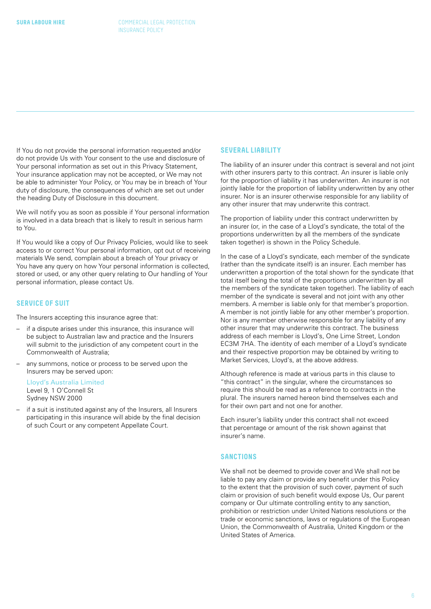<span id="page-5-0"></span>If You do not provide the personal information requested and/or do not provide Us with Your consent to the use and disclosure of Your personal information as set out in this Privacy Statement, Your insurance application may not be accepted, or We may not be able to administer Your Policy, or You may be in breach of Your duty of disclosure, the consequences of which are set out under the heading Duty of Disclosure in this document.

We will notify you as soon as possible if Your personal information is involved in a data breach that is likely to result in serious harm to You.

If You would like a copy of Our Privacy Policies, would like to seek access to or correct Your personal information, opt out of receiving materials We send, complain about a breach of Your privacy or You have any query on how Your personal information is collected. stored or used, or any other query relating to Our handling of Your personal information, please contact Us.

#### **SERVICE OF SUIT**

The Insurers accepting this insurance agree that:

- if a dispute arises under this insurance, this insurance will be subject to Australian law and practice and the Insurers will submit to the jurisdiction of any competent court in the Commonwealth of Australia;
- any summons, notice or process to be served upon the Insurers may be served upon:

Lloyd's Australia Limited Level 9, 1 O'Connell St Sydney NSW 2000

if a suit is instituted against any of the Insurers, all Insurers participating in this insurance will abide by the final decision of such Court or any competent Appellate Court.

#### **SEVERAL LIABILITY**

The liability of an insurer under this contract is several and not joint with other insurers party to this contract. An insurer is liable only for the proportion of liability it has underwritten. An insurer is not jointly liable for the proportion of liability underwritten by any other insurer. Nor is an insurer otherwise responsible for any liability of any other insurer that may underwrite this contract.

The proportion of liability under this contract underwritten by an insurer (or, in the case of a Lloyd's syndicate, the total of the proportions underwritten by all the members of the syndicate taken together) is shown in the Policy Schedule.

In the case of a Lloyd's syndicate, each member of the syndicate (rather than the syndicate itself) is an insurer. Each member has underwritten a proportion of the total shown for the syndicate (that total itself being the total of the proportions underwritten by all the members of the syndicate taken together). The liability of each member of the syndicate is several and not joint with any other members. A member is liable only for that member's proportion. A member is not jointly liable for any other member's proportion. Nor is any member otherwise responsible for any liability of any other insurer that may underwrite this contract. The business address of each member is Lloyd's, One Lime Street, London EC3M 7HA. The identity of each member of a Lloyd's syndicate and their respective proportion may be obtained by writing to Market Services, Lloyd's, at the above address.

Although reference is made at various parts in this clause to "this contract" in the singular, where the circumstances so require this should be read as a reference to contracts in the plural. The insurers named hereon bind themselves each and for their own part and not one for another.

Each insurer's liability under this contract shall not exceed that percentage or amount of the risk shown against that insurer's name.

#### **SANCTIONS**

We shall not be deemed to provide cover and We shall not be liable to pay any claim or provide any benefit under this Policy to the extent that the provision of such cover, payment of such claim or provision of such benefit would expose Us, Our parent company or Our ultimate controlling entity to any sanction, prohibition or restriction under United Nations resolutions or the trade or economic sanctions, laws or regulations of the European Union, the Commonwealth of Australia, United Kingdom or the United States of America.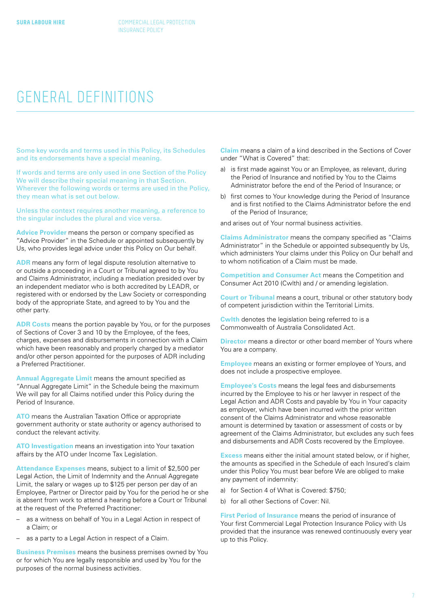### <span id="page-6-0"></span>GENERAL DEFINITIONS

Some key words and terms used in this Policy, its Schedules and its endorsements have a special meaning.

If words and terms are only used in one Section of the Policy We will describe their special meaning in that Section. Wherever the following words or terms are used in the Policy, they mean what is set out below.

Unless the context requires another meaning, a reference to the singular includes the plural and vice versa.

**Advice Provider** means the person or company specified as "Advice Provider" in the Schedule or appointed subsequently by Us, who provides legal advice under this Policy on Our behalf.

**ADR** means any form of legal dispute resolution alternative to or outside a proceeding in a Court or Tribunal agreed to by You and Claims Administrator, including a mediation presided over by an independent mediator who is both accredited by LEADR, or registered with or endorsed by the Law Society or corresponding body of the appropriate State, and agreed to by You and the other party.

**ADR Costs** means the portion payable by You, or for the purposes of Sections of Cover 3 and 10 by the Employee, of the fees, charges, expenses and disbursements in connection with a Claim which have been reasonably and properly charged by a mediator and/or other person appointed for the purposes of ADR including a Preferred Practitioner.

**Annual Aggregate Limit** means the amount specified as "Annual Aggregate Limit" in the Schedule being the maximum We will pay for all Claims notified under this Policy during the Period of Insurance.

**ATO** means the Australian Taxation Office or appropriate government authority or state authority or agency authorised to conduct the relevant activity.

**ATO Investigation** means an investigation into Your taxation affairs by the ATO under Income Tax Legislation.

**Attendance Expenses** means, subject to a limit of \$2,500 per Legal Action, the Limit of Indemnity and the Annual Aggregate Limit, the salary or wages up to \$125 per person per day of an Employee, Partner or Director paid by You for the period he or she is absent from work to attend a hearing before a Court or Tribunal at the request of the Preferred Practitioner:

- as a witness on behalf of You in a Legal Action in respect of a Claim; or
- as a party to a Legal Action in respect of a Claim.

**Business Premises** means the business premises owned by You or for which You are legally responsible and used by You for the purposes of the normal business activities.

**Claim** means a claim of a kind described in the Sections of Cover under "What is Covered" that:

- a) is first made against You or an Employee, as relevant, during the Period of Insurance and notified by You to the Claims Administrator before the end of the Period of Insurance; or
- b) first comes to Your knowledge during the Period of Insurance and is first notified to the Claims Administrator before the end of the Period of Insurance;

and arises out of Your normal business activities.

**Claims Administrator** means the company specified as "Claims Administrator" in the Schedule or appointed subsequently by Us, which administers Your claims under this Policy on Our behalf and to whom notification of a Claim must be made.

**Competition and Consumer Act** means the Competition and Consumer Act 2010 (Cwlth) and / or amending legislation.

**Court or Tribunal** means a court, tribunal or other statutory body of competent jurisdiction within the Territorial Limits.

**Cwlth** denotes the legislation being referred to is a Commonwealth of Australia Consolidated Act.

**Director** means a director or other board member of Yours where You are a company.

**Employee** means an existing or former employee of Yours, and does not include a prospective employee.

**Employee's Costs** means the legal fees and disbursements incurred by the Employee to his or her lawyer in respect of the Legal Action and ADR Costs and payable by You in Your capacity as employer, which have been incurred with the prior written consent of the Claims Administrator and whose reasonable amount is determined by taxation or assessment of costs or by agreement of the Claims Administrator, but excludes any such fees and disbursements and ADR Costs recovered by the Employee.

**Excess** means either the initial amount stated below, or if higher, the amounts as specified in the Schedule of each Insured's claim under this Policy You must bear before We are obliged to make any payment of indemnity:

- a) for Section 4 of What is Covered: \$750;
- b) for all other Sections of Cover: Nil.

**First Period of Insurance** means the period of insurance of Your first Commercial Legal Protection Insurance Policy with Us provided that the insurance was renewed continuously every year up to this Policy.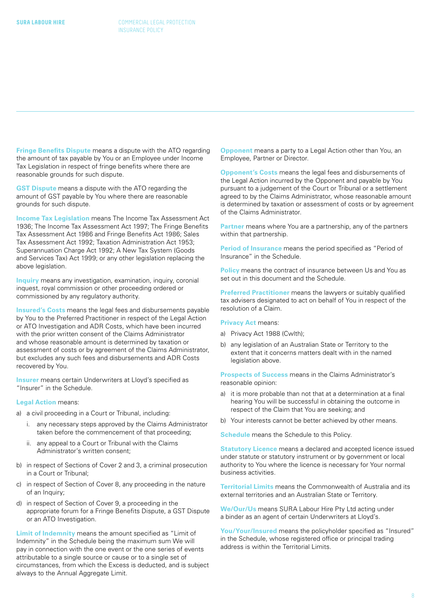**Fringe Benefits Dispute** means a dispute with the ATO regarding the amount of tax payable by You or an Employee under Income Tax Legislation in respect of fringe benefits where there are reasonable grounds for such dispute.

**GST Dispute** means a dispute with the ATO regarding the amount of GST payable by You where there are reasonable grounds for such dispute.

**Income Tax Legislation** means The Income Tax Assessment Act 1936; The Income Tax Assessment Act 1997; The Fringe Benefits Tax Assessment Act 1986 and Fringe Benefits Act 1986; Sales Tax Assessment Act 1992; Taxation Administration Act 1953; Superannuation Charge Act 1992; A New Tax System (Goods and Services Tax) Act 1999; or any other legislation replacing the above legislation.

**Inquiry** means any investigation, examination, inquiry, coronial inquest, royal commission or other proceeding ordered or commissioned by any regulatory authority.

**Insured's Costs** means the legal fees and disbursements payable by You to the Preferred Practitioner in respect of the Legal Action or ATO Investigation and ADR Costs, which have been incurred with the prior written consent of the Claims Administrator and whose reasonable amount is determined by taxation or assessment of costs or by agreement of the Claims Administrator, but excludes any such fees and disbursements and ADR Costs recovered by You.

**Insurer** means certain Underwriters at Lloyd's specified as "Insurer" in the Schedule.

#### **Legal Action** means:

- a) a civil proceeding in a Court or Tribunal, including:
	- i. any necessary steps approved by the Claims Administrator taken before the commencement of that proceeding;
	- ii. any appeal to a Court or Tribunal with the Claims Administrator's written consent;
- b) in respect of Sections of Cover 2 and 3, a criminal prosecution in a Court or Tribunal;
- c) in respect of Section of Cover 8, any proceeding in the nature of an Inquiry;
- d) in respect of Section of Cover 9, a proceeding in the appropriate forum for a Fringe Benefits Dispute, a GST Dispute or an ATO Investigation.

**Limit of Indemnity** means the amount specified as "Limit of Indemnity" in the Schedule being the maximum sum We will pay in connection with the one event or the one series of events attributable to a single source or cause or to a single set of circumstances, from which the Excess is deducted, and is subject always to the Annual Aggregate Limit.

**Opponent** means a party to a Legal Action other than You, an Employee, Partner or Director.

**Opponent's Costs** means the legal fees and disbursements of the Legal Action incurred by the Opponent and payable by You pursuant to a judgement of the Court or Tribunal or a settlement agreed to by the Claims Administrator, whose reasonable amount is determined by taxation or assessment of costs or by agreement of the Claims Administrator.

**Partner** means where You are a partnership, any of the partners within that partnership.

**Period of Insurance** means the period specified as "Period of Insurance" in the Schedule.

**Policy** means the contract of insurance between Us and You as set out in this document and the Schedule.

**Preferred Practitioner** means the lawyers or suitably qualified tax advisers designated to act on behalf of You in respect of the resolution of a Claim.

#### **Privacy Act means:**

- a) Privacy Act 1988 (Cwlth);
- b) any legislation of an Australian State or Territory to the extent that it concerns matters dealt with in the named legislation above.

**Prospects of Success** means in the Claims Administrator's reasonable opinion:

- a) it is more probable than not that at a determination at a final hearing You will be successful in obtaining the outcome in respect of the Claim that You are seeking; and
- b) Your interests cannot be better achieved by other means.

**Schedule** means the Schedule to this Policy.

**Statutory Licence** means a declared and accepted licence issued under statute or statutory instrument or by government or local authority to You where the licence is necessary for Your normal business activities.

**Territorial Limits** means the Commonwealth of Australia and its external territories and an Australian State or Territory.

**We/Our/Us** means SURA Labour Hire Pty Ltd acting under a binder as an agent of certain Underwriters at Lloyd's.

**You/Your/Insured** means the policyholder specified as "Insured" in the Schedule, whose registered office or principal trading address is within the Territorial Limits.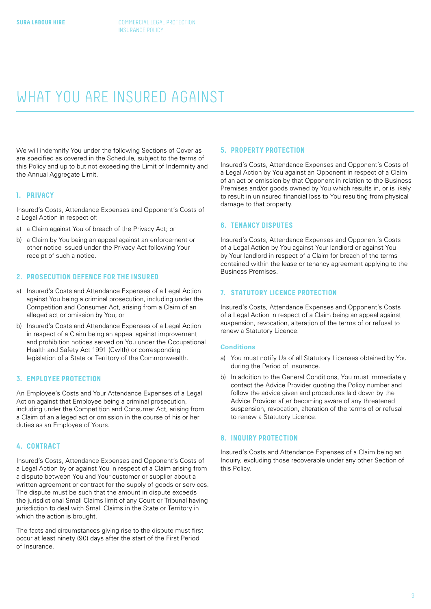### <span id="page-8-0"></span>WHAT YOU ARE INSURED AGAINST

We will indemnify You under the following Sections of Cover as are specified as covered in the Schedule, subject to the terms of this Policy and up to but not exceeding the Limit of Indemnity and the Annual Aggregate Limit.

#### **1. PRIVACY**

Insured's Costs, Attendance Expenses and Opponent's Costs of a Legal Action in respect of:

- a) a Claim against You of breach of the Privacy Act; or
- b) a Claim by You being an appeal against an enforcement or other notice issued under the Privacy Act following Your receipt of such a notice.

#### **2. PROSECUTION DEFENCE FOR THE INSURED**

- a) Insured's Costs and Attendance Expenses of a Legal Action against You being a criminal prosecution, including under the Competition and Consumer Act, arising from a Claim of an alleged act or omission by You; or
- b) Insured's Costs and Attendance Expenses of a Legal Action in respect of a Claim being an appeal against improvement and prohibition notices served on You under the Occupational Health and Safety Act 1991 (Cwlth) or corresponding legislation of a State or Territory of the Commonwealth.

#### **3. EMPLOYEE PROTECTION**

An Employee's Costs and Your Attendance Expenses of a Legal Action against that Employee being a criminal prosecution, including under the Competition and Consumer Act, arising from a Claim of an alleged act or omission in the course of his or her duties as an Employee of Yours.

#### **4. CONTRACT**

Insured's Costs, Attendance Expenses and Opponent's Costs of a Legal Action by or against You in respect of a Claim arising from a dispute between You and Your customer or supplier about a written agreement or contract for the supply of goods or services. The dispute must be such that the amount in dispute exceeds the jurisdictional Small Claims limit of any Court or Tribunal having jurisdiction to deal with Small Claims in the State or Territory in which the action is brought.

The facts and circumstances giving rise to the dispute must first occur at least ninety (90) days after the start of the First Period of Insurance.

#### **5. PROPERTY PROTECTION**

Insured's Costs, Attendance Expenses and Opponent's Costs of a Legal Action by You against an Opponent in respect of a Claim of an act or omission by that Opponent in relation to the Business Premises and/or goods owned by You which results in, or is likely to result in uninsured financial loss to You resulting from physical damage to that property.

#### **6. TENANCY DISPUTES**

Insured's Costs, Attendance Expenses and Opponent's Costs of a Legal Action by You against Your landlord or against You by Your landlord in respect of a Claim for breach of the terms contained within the lease or tenancy agreement applying to the Business Premises.

#### **7. STATUTORY LICENCE PROTECTION**

Insured's Costs, Attendance Expenses and Opponent's Costs of a Legal Action in respect of a Claim being an appeal against suspension, revocation, alteration of the terms of or refusal to renew a Statutory Licence.

#### **Conditions**

- a) You must notify Us of all Statutory Licenses obtained by You during the Period of Insurance.
- b) In addition to the General Conditions, You must immediately contact the Advice Provider quoting the Policy number and follow the advice given and procedures laid down by the Advice Provider after becoming aware of any threatened suspension, revocation, alteration of the terms of or refusal to renew a Statutory Licence.

#### **8. INQUIRY PROTECTION**

Insured's Costs and Attendance Expenses of a Claim being an Inquiry, excluding those recoverable under any other Section of this Policy.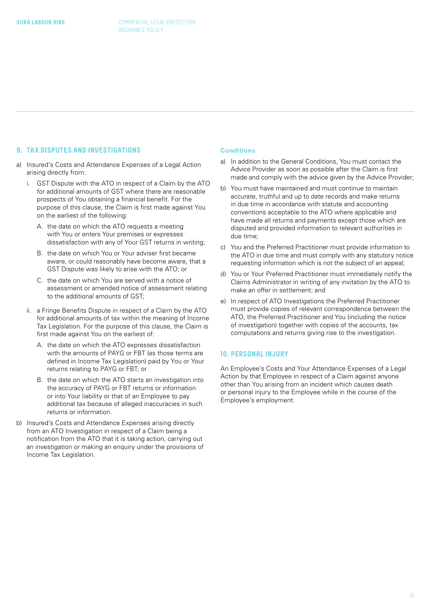#### <span id="page-9-0"></span>**9. TAX DISPUTES AND INVESTIGATIONS**

- a) Insured's Costs and Attendance Expenses of a Legal Action arising directly from:
	- i. GST Dispute with the ATO in respect of a Claim by the ATO for additional amounts of GST where there are reasonable prospects of You obtaining a financial benefit. For the purpose of this clause, the Claim is first made against You on the earliest of the following:
		- A. the date on which the ATO requests a meeting with You or enters Your premises or expresses dissatisfaction with any of Your GST returns in writing;
		- B. the date on which You or Your adviser first became aware, or could reasonably have become aware, that a GST Dispute was likely to arise with the ATO; or
		- C. the date on which You are served with a notice of assessment or amended notice of assessment relating to the additional amounts of GST;
	- ii. a Fringe Benefits Dispute in respect of a Claim by the ATO for additional amounts of tax within the meaning of Income Tax Legislation. For the purpose of this clause, the Claim is first made against You on the earliest of:
		- A. the date on which the ATO expresses dissatisfaction with the amounts of PAYG or FBT (as those terms are defined in Income Tax Legislation) paid by You or Your returns relating to PAYG or FBT; or
		- B. the date on which the ATO starts an investigation into the accuracy of PAYG or FBT returns or information or into Your liability or that of an Employee to pay additional tax because of alleged inaccuracies in such returns or information.
- b) Insured's Costs and Attendance Expenses arising directly from an ATO Investigation in respect of a Claim being a notification from the ATO that it is taking action, carrying out an investigation or making an enquiry under the provisions of Income Tax Legislation.

#### **Conditions**

- a) In addition to the General Conditions, You must contact the Advice Provider as soon as possible after the Claim is first made and comply with the advice given by the Advice Provider;
- b) You must have maintained and must continue to maintain accurate, truthful and up to date records and make returns in due time in accordance with statute and accounting conventions acceptable to the ATO where applicable and have made all returns and payments except those which are disputed and provided information to relevant authorities in due time;
- c) You and the Preferred Practitioner must provide information to the ATO in due time and must comply with any statutory notice requesting information which is not the subject of an appeal;
- d) You or Your Preferred Practitioner must immediately notify the Claims Administrator in writing of any invitation by the ATO to make an offer in settlement; and
- e) In respect of ATO Investigations the Preferred Practitioner must provide copies of relevant correspondence between the ATO, the Preferred Practitioner and You (including the notice of investigation) together with copies of the accounts, tax computations and returns giving rise to the investigation.

#### **10. PERSONAL INJURY**

An Employee's Costs and Your Attendance Expenses of a Legal Action by that Employee in respect of a Claim against anyone other than You arising from an incident which causes death or personal injury to the Employee while in the course of the Employee's employment.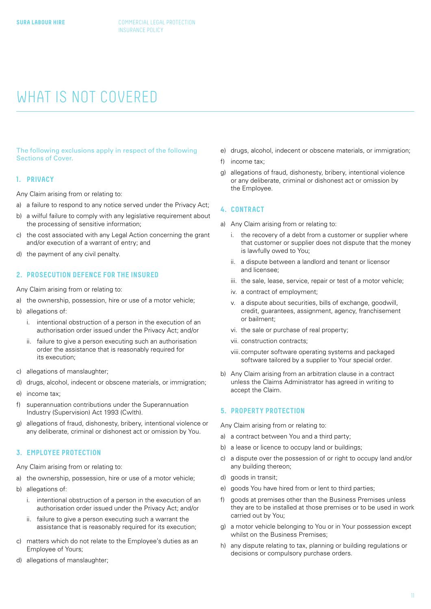### <span id="page-10-0"></span>WHAT IS NOT COVERED

The following exclusions apply in respect of the following Sections of Cover.

#### **1. PRIVACY**

Any Claim arising from or relating to:

- a) a failure to respond to any notice served under the Privacy Act;
- b) a wilful failure to comply with any legislative requirement about the processing of sensitive information;
- c) the cost associated with any Legal Action concerning the grant and/or execution of a warrant of entry; and
- d) the payment of any civil penalty.

#### **2. PROSECUTION DEFENCE FOR THE INSURED**

Any Claim arising from or relating to:

- a) the ownership, possession, hire or use of a motor vehicle;
- b) allegations of:
	- i. intentional obstruction of a person in the execution of an authorisation order issued under the Privacy Act; and/or
	- ii. failure to give a person executing such an authorisation order the assistance that is reasonably required for its execution;
- c) allegations of manslaughter;
- d) drugs, alcohol, indecent or obscene materials, or immigration;
- e) income tax;
- f) superannuation contributions under the Superannuation Industry (Supervision) Act 1993 (Cwlth).
- g) allegations of fraud, dishonesty, bribery, intentional violence or any deliberate, criminal or dishonest act or omission by You.

#### **3. EMPLOYEE PROTECTION**

Any Claim arising from or relating to:

- a) the ownership, possession, hire or use of a motor vehicle;
- b) allegations of:
	- i. intentional obstruction of a person in the execution of an authorisation order issued under the Privacy Act; and/or
	- ii. failure to give a person executing such a warrant the assistance that is reasonably required for its execution;
- c) matters which do not relate to the Employee's duties as an Employee of Yours;
- d) allegations of manslaughter;
- e) drugs, alcohol, indecent or obscene materials, or immigration;
- f) income tax;
- g) allegations of fraud, dishonesty, bribery, intentional violence or any deliberate, criminal or dishonest act or omission by the Employee.

#### **4. CONTRACT**

- a) Any Claim arising from or relating to:
	- i. the recovery of a debt from a customer or supplier where that customer or supplier does not dispute that the money is lawfully owed to You;
	- ii. a dispute between a landlord and tenant or licensor and licensee;
	- iii. the sale, lease, service, repair or test of a motor vehicle;
	- iv. a contract of employment;
	- v. a dispute about securities, bills of exchange, goodwill, credit, guarantees, assignment, agency, franchisement or bailment;
	- vi. the sale or purchase of real property;
	- vii. construction contracts;
	- viii.computer software operating systems and packaged software tailored by a supplier to Your special order.
- b) Any Claim arising from an arbitration clause in a contract unless the Claims Administrator has agreed in writing to accept the Claim.

#### **5. PROPERTY PROTECTION**

Any Claim arising from or relating to:

- a) a contract between You and a third party;
- b) a lease or licence to occupy land or buildings;
- c) a dispute over the possession of or right to occupy land and/or any building thereon;
- d) goods in transit;
- e) goods You have hired from or lent to third parties;
- f) goods at premises other than the Business Premises unless they are to be installed at those premises or to be used in work carried out by You;
- g) a motor vehicle belonging to You or in Your possession except whilst on the Business Premises;
- h) any dispute relating to tax, planning or building regulations or decisions or compulsory purchase orders.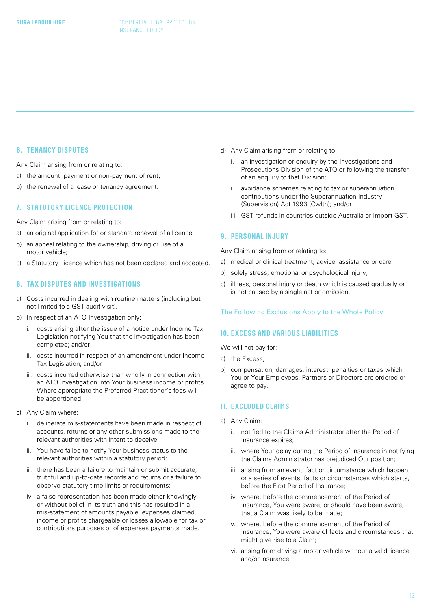#### <span id="page-11-0"></span>**6. TENANCY DISPUTES**

Any Claim arising from or relating to:

- a) the amount, payment or non-payment of rent;
- b) the renewal of a lease or tenancy agreement.

#### **7. STATUTORY LICENCE PROTECTION**

Any Claim arising from or relating to:

- a) an original application for or standard renewal of a licence;
- b) an appeal relating to the ownership, driving or use of a motor vehicle;
- c) a Statutory Licence which has not been declared and accepted.

#### **8. TAX DISPUTES AND INVESTIGATIONS**

- a) Costs incurred in dealing with routine matters (including but not limited to a GST audit visit).
- b) In respect of an ATO Investigation only:
	- i. costs arising after the issue of a notice under Income Tax Legislation notifying You that the investigation has been completed; and/or
	- ii. costs incurred in respect of an amendment under Income Tax Legislation; and/or
	- iii. costs incurred otherwise than wholly in connection with an ATO Investigation into Your business income or profits. Where appropriate the Preferred Practitioner's fees will be apportioned.
- c) Any Claim where:
	- i. deliberate mis-statements have been made in respect of accounts, returns or any other submissions made to the relevant authorities with intent to deceive;
	- ii. You have failed to notify Your business status to the relevant authorities within a statutory period;
	- iii. there has been a failure to maintain or submit accurate, truthful and up-to-date records and returns or a failure to observe statutory time limits or requirements;
	- iv. a false representation has been made either knowingly or without belief in its truth and this has resulted in a mis-statement of amounts payable, expenses claimed, income or profits chargeable or losses allowable for tax or contributions purposes or of expenses payments made.
- d) Any Claim arising from or relating to:
	- i. an investigation or enquiry by the Investigations and Prosecutions Division of the ATO or following the transfer of an enquiry to that Division;
	- ii. avoidance schemes relating to tax or superannuation contributions under the Superannuation Industry (Supervision) Act 1993 (Cwlth); and/or
	- iii. GST refunds in countries outside Australia or Import GST.

#### **9. PERSONAL INJURY**

Any Claim arising from or relating to:

- a) medical or clinical treatment, advice, assistance or care;
- b) solely stress, emotional or psychological injury;
- c) illness, personal injury or death which is caused gradually or is not caused by a single act or omission.

#### The Following Exclusions Apply to the Whole Policy

#### **10. EXCESS AND VARIOUS LIABILITIES**

We will not pay for:

- a) the Excess;
- b) compensation, damages, interest, penalties or taxes which You or Your Employees, Partners or Directors are ordered or agree to pay.

#### **11. EXCLUDED CLAIMS**

- a) Any Claim:
	- i. notified to the Claims Administrator after the Period of Insurance expires;
	- ii. where Your delay during the Period of Insurance in notifying the Claims Administrator has prejudiced Our position;
	- iii. arising from an event, fact or circumstance which happen, or a series of events, facts or circumstances which starts, before the First Period of Insurance;
	- iv. where, before the commencement of the Period of Insurance, You were aware, or should have been aware, that a Claim was likely to be made;
	- v. where, before the commencement of the Period of Insurance, You were aware of facts and circumstances that might give rise to a Claim;
	- vi. arising from driving a motor vehicle without a valid licence and/or insurance;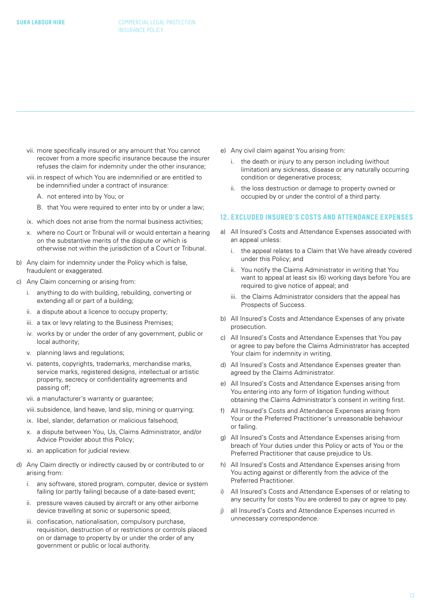- <span id="page-12-0"></span>vii. more specifically insured or any amount that You cannot recover from a more specific insurance because the insurer refuses the claim for indemnity under the other insurance;
- viii.in respect of which You are indemnified or are entitled to be indemnified under a contract of insurance:
	- A. not entered into by You; or
	- B. that You were required to enter into by or under a law;
- ix. which does not arise from the normal business activities;
- x. where no Court or Tribunal will or would entertain a hearing on the substantive merits of the dispute or which is otherwise not within the jurisdiction of a Court or Tribunal.
- b) Any claim for indemnity under the Policy which is false, fraudulent or exaggerated.
- c) Any Claim concerning or arising from:
	- i. anything to do with building, rebuilding, converting or extending all or part of a building;
	- ii. a dispute about a licence to occupy property;
	- iii. a tax or levy relating to the Business Premises;
	- iv. works by or under the order of any government, public or local authority;
	- v. planning laws and regulations;
	- vi. patents, copyrights, trademarks, merchandise marks, service marks, registered designs, intellectual or artistic property, secrecy or confidentiality agreements and passing off;
	- vii. a manufacturer's warranty or guarantee;
	- viii.subsidence, land heave, land slip, mining or quarrying;
	- ix. libel, slander, defamation or malicious falsehood;
	- x. a dispute between You, Us, Claims Administrator, and/or Advice Provider about this Policy;
	- xi. an application for judicial review.
- d) Any Claim directly or indirectly caused by or contributed to or arising from:
	- i. any software, stored program, computer, device or system failing (or partly failing) because of a date-based event;
	- ii. pressure waves caused by aircraft or any other airborne device travelling at sonic or supersonic speed;
	- iii. confiscation, nationalisation, compulsory purchase, requisition, destruction of or restrictions or controls placed on or damage to property by or under the order of any government or public or local authority.
- e) Any civil claim against You arising from:
	- i. the death or injury to any person including (without limitation) any sickness, disease or any naturally occurring condition or degenerative process;
	- ii. the loss destruction or damage to property owned or occupied by or under the control of a third party.

#### **12. EXCLUDED INSURED'S COSTS AND ATTENDANCE EXPENSES**

- a) All Insured's Costs and Attendance Expenses associated with an appeal unless:
	- i. the appeal relates to a Claim that We have already covered under this Policy; and
	- ii. You notify the Claims Administrator in writing that You want to appeal at least six (6) working days before You are required to give notice of appeal; and
	- iii. the Claims Administrator considers that the appeal has Prospects of Success.
- b) All Insured's Costs and Attendance Expenses of any private prosecution.
- c) All Insured's Costs and Attendance Expenses that You pay or agree to pay before the Claims Administrator has accepted Your claim for indemnity in writing.
- d) All Insured's Costs and Attendance Expenses greater than agreed by the Claims Administrator.
- e) All Insured's Costs and Attendance Expenses arising from You entering into any form of litigation funding without obtaining the Claims Administrator's consent in writing first.
- f) All Insured's Costs and Attendance Expenses arising from Your or the Preferred Practitioner's unreasonable behaviour or failing.
- g) All Insured's Costs and Attendance Expenses arising from breach of Your duties under this Policy or acts of You or the Preferred Practitioner that cause prejudice to Us.
- h) All Insured's Costs and Attendance Expenses arising from You acting against or differently from the advice of the Preferred Practitioner.
- i) All Insured's Costs and Attendance Expenses of or relating to any security for costs You are ordered to pay or agree to pay.
- j) all Insured's Costs and Attendance Expenses incurred in unnecessary correspondence.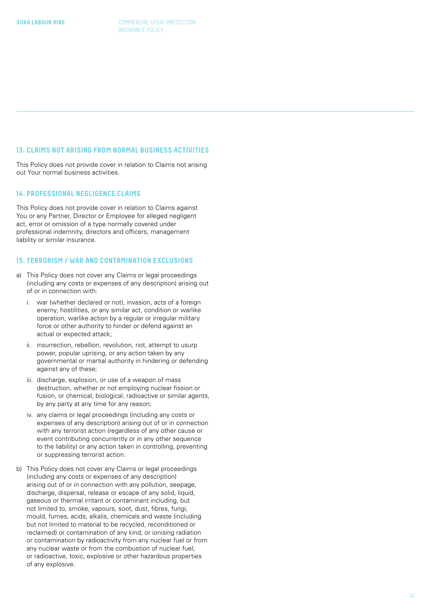#### <span id="page-13-0"></span>**13. CLAIMS NOT ARISING FROM NORMAL BUSINESS ACTIVITIES**

This Policy does not provide cover in relation to Claims not arising out Your normal business activities.

#### **14. PROFESSIONAL NEGLIGENCE CLAIMS**

This Policy does not provide cover in relation to Claims against You or any Partner, Director or Employee for alleged negligent act, error or omission of a type normally covered under professional indemnity, directors and officers, management liability or similar insurance.

#### **15. TERRORISM / WAR AND CONTAMINATION EXCLUSIONS**

- a) This Policy does not cover any Claims or legal proceedings (including any costs or expenses of any description) arising out of or in connection with:
	- i. war (whether declared or not), invasion, acts of a foreign enemy, hostilities, or any similar act, condition or warlike operation, warlike action by a regular or irregular military force or other authority to hinder or defend against an actual or expected attack;
	- ii. insurrection, rebellion, revolution, riot, attempt to usurp power, popular uprising, or any action taken by any governmental or martial authority in hindering or defending against any of these;
	- iii. discharge, explosion, or use of a weapon of mass destruction, whether or not employing nuclear fission or fusion, or chemical, biological, radioactive or similar agents, by any party at any time for any reason;
	- iv. any claims or legal proceedings (including any costs or expenses of any description) arising out of or in connection with any terrorist action (regardless of any other cause or event contributing concurrently or in any other sequence to the liability) or any action taken in controlling, preventing or suppressing terrorist action.
- b) This Policy does not cover any Claims or legal proceedings (including any costs or expenses of any description) arising out of or in connection with any pollution, seepage, discharge, dispersal, release or escape of any solid, liquid, gaseous or thermal irritant or contaminant including, but not limited to, smoke, vapours, soot, dust, fibres, fungi, mould, fumes, acids, alkalis, chemicals and waste (including but not limited to material to be recycled, reconditioned or reclaimed) or contamination of any kind; or ionising radiation or contamination by radioactivity from any nuclear fuel or from any nuclear waste or from the combustion of nuclear fuel; or radioactive, toxic, explosive or other hazardous properties of any explosive.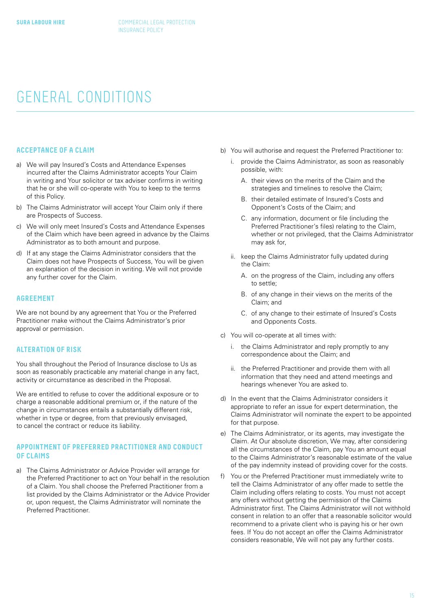### <span id="page-14-0"></span>GENERAL CONDITIONS

#### **ACCEPTANCE OF A CLAIM**

- a) We will pay Insured's Costs and Attendance Expenses incurred after the Claims Administrator accepts Your Claim in writing and Your solicitor or tax adviser confirms in writing that he or she will co-operate with You to keep to the terms of this Policy.
- b) The Claims Administrator will accept Your Claim only if there are Prospects of Success.
- c) We will only meet Insured's Costs and Attendance Expenses of the Claim which have been agreed in advance by the Claims Administrator as to both amount and purpose.
- d) If at any stage the Claims Administrator considers that the Claim does not have Prospects of Success, You will be given an explanation of the decision in writing. We will not provide any further cover for the Claim.

#### **AGREEMENT**

We are not bound by any agreement that You or the Preferred Practitioner make without the Claims Administrator's prior approval or permission.

#### **ALTERATION OF RISK**

You shall throughout the Period of Insurance disclose to Us as soon as reasonably practicable any material change in any fact, activity or circumstance as described in the Proposal.

We are entitled to refuse to cover the additional exposure or to charge a reasonable additional premium or, if the nature of the change in circumstances entails a substantially different risk, whether in type or degree, from that previously envisaged, to cancel the contract or reduce its liability.

### **APPOINTMENT OF PREFERRED PRACTITIONER AND CONDUCT OF CLAIMS**

a) The Claims Administrator or Advice Provider will arrange for the Preferred Practitioner to act on Your behalf in the resolution of a Claim. You shall choose the Preferred Practitioner from a list provided by the Claims Administrator or the Advice Provider or, upon request, the Claims Administrator will nominate the Preferred Practitioner.

- b) You will authorise and request the Preferred Practitioner to:
	- i. provide the Claims Administrator, as soon as reasonably possible, with:
		- A. their views on the merits of the Claim and the strategies and timelines to resolve the Claim;
		- B. their detailed estimate of Insured's Costs and Opponent's Costs of the Claim; and
		- C. any information, document or file (including the Preferred Practitioner's files) relating to the Claim, whether or not privileged, that the Claims Administrator may ask for,
	- ii. keep the Claims Administrator fully updated during the Claim:
		- A. on the progress of the Claim, including any offers to settle;
		- B. of any change in their views on the merits of the Claim; and
		- C. of any change to their estimate of Insured's Costs and Opponents Costs.
- c) You will co-operate at all times with:
	- i. the Claims Administrator and reply promptly to any correspondence about the Claim; and
	- ii. the Preferred Practitioner and provide them with all information that they need and attend meetings and hearings whenever You are asked to.
- d) In the event that the Claims Administrator considers it appropriate to refer an issue for expert determination, the Claims Administrator will nominate the expert to be appointed for that purpose.
- e) The Claims Administrator, or its agents, may investigate the Claim. At Our absolute discretion, We may, after considering all the circumstances of the Claim, pay You an amount equal to the Claims Administrator's reasonable estimate of the value of the pay indemnity instead of providing cover for the costs.
- f) You or the Preferred Practitioner must immediately write to tell the Claims Administrator of any offer made to settle the Claim including offers relating to costs. You must not accept any offers without getting the permission of the Claims Administrator first. The Claims Administrator will not withhold consent in relation to an offer that a reasonable solicitor would recommend to a private client who is paying his or her own fees. If You do not accept an offer the Claims Administrator considers reasonable, We will not pay any further costs.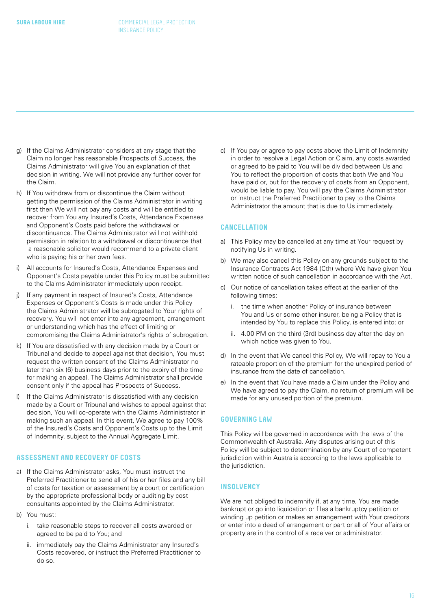- <span id="page-15-0"></span>g) If the Claims Administrator considers at any stage that the Claim no longer has reasonable Prospects of Success, the Claims Administrator will give You an explanation of that decision in writing. We will not provide any further cover for the Claim.
- h) If You withdraw from or discontinue the Claim without getting the permission of the Claims Administrator in writing first then We will not pay any costs and will be entitled to recover from You any Insured's Costs, Attendance Expenses and Opponent's Costs paid before the withdrawal or discontinuance. The Claims Administrator will not withhold permission in relation to a withdrawal or discontinuance that a reasonable solicitor would recommend to a private client who is paying his or her own fees.
- i) All accounts for Insured's Costs, Attendance Expenses and Opponent's Costs payable under this Policy must be submitted to the Claims Administrator immediately upon receipt.
- j) If any payment in respect of Insured's Costs, Attendance Expenses or Opponent's Costs is made under this Policy the Claims Administrator will be subrogated to Your rights of recovery. You will not enter into any agreement, arrangement or understanding which has the effect of limiting or compromising the Claims Administrator's rights of subrogation.
- k) If You are dissatisfied with any decision made by a Court or Tribunal and decide to appeal against that decision, You must request the written consent of the Claims Administrator no later than six (6) business days prior to the expiry of the time for making an appeal. The Claims Administrator shall provide consent only if the appeal has Prospects of Success.
- l) If the Claims Administrator is dissatisfied with any decision made by a Court or Tribunal and wishes to appeal against that decision, You will co-operate with the Claims Administrator in making such an appeal. In this event, We agree to pay 100% of the Insured's Costs and Opponent's Costs up to the Limit of Indemnity, subject to the Annual Aggregate Limit.

### **ASSESSMENT AND RECOVERY OF COSTS**

- a) If the Claims Administrator asks, You must instruct the Preferred Practitioner to send all of his or her files and any bill of costs for taxation or assessment by a court or certification by the appropriate professional body or auditing by cost consultants appointed by the Claims Administrator.
- b) You must:
	- i. take reasonable steps to recover all costs awarded or agreed to be paid to You; and
	- ii. immediately pay the Claims Administrator any Insured's Costs recovered, or instruct the Preferred Practitioner to do so.

c) If You pay or agree to pay costs above the Limit of Indemnity in order to resolve a Legal Action or Claim, any costs awarded or agreed to be paid to You will be divided between Us and You to reflect the proportion of costs that both We and You have paid or, but for the recovery of costs from an Opponent, would be liable to pay. You will pay the Claims Administrator or instruct the Preferred Practitioner to pay to the Claims Administrator the amount that is due to Us immediately.

#### **CANCELLATION**

- a) This Policy may be cancelled at any time at Your request by notifying Us in writing.
- b) We may also cancel this Policy on any grounds subject to the Insurance Contracts Act 1984 (Cth) where We have given You written notice of such cancellation in accordance with the Act.
- c) Our notice of cancellation takes effect at the earlier of the following times:
	- i. the time when another Policy of insurance between You and Us or some other insurer, being a Policy that is intended by You to replace this Policy, is entered into; or
	- ii. 4.00 PM on the third (3rd) business day after the day on which notice was given to You.
- d) In the event that We cancel this Policy, We will repay to You a rateable proportion of the premium for the unexpired period of insurance from the date of cancellation.
- e) In the event that You have made a Claim under the Policy and We have agreed to pay the Claim, no return of premium will be made for any unused portion of the premium.

#### **GOVERNING LAW**

This Policy will be governed in accordance with the laws of the Commonwealth of Australia. Any disputes arising out of this Policy will be subject to determination by any Court of competent jurisdiction within Australia according to the laws applicable to the jurisdiction.

#### **INSOLVENCY**

We are not obliged to indemnify if, at any time, You are made bankrupt or go into liquidation or files a bankruptcy petition or winding up petition or makes an arrangement with Your creditors or enter into a deed of arrangement or part or all of Your affairs or property are in the control of a receiver or administrator.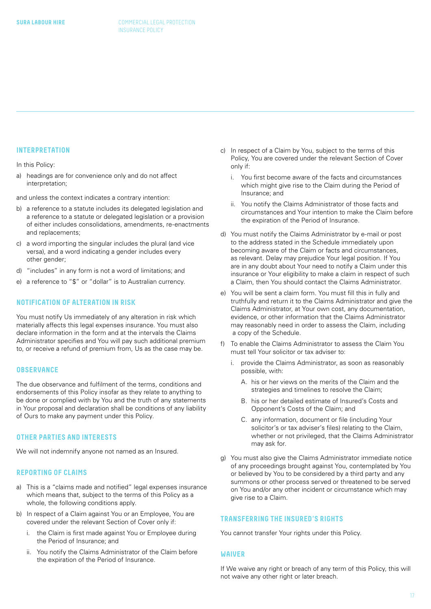#### <span id="page-16-0"></span>**INTERPRETATION**

In this Policy:

a) headings are for convenience only and do not affect interpretation;

and unless the context indicates a contrary intention:

- b) a reference to a statute includes its delegated legislation and a reference to a statute or delegated legislation or a provision of either includes consolidations, amendments, re-enactments and replacements;
- c) a word importing the singular includes the plural (and vice versa), and a word indicating a gender includes every other gender;
- d) "includes" in any form is not a word of limitations; and
- e) a reference to "\$" or "dollar" is to Australian currency.

#### **NOTIFICATION OF ALTERATION IN RISK**

You must notify Us immediately of any alteration in risk which materially affects this legal expenses insurance. You must also declare information in the form and at the intervals the Claims Administrator specifies and You will pay such additional premium to, or receive a refund of premium from, Us as the case may be.

#### **OBSERVANCE**

The due observance and fulfilment of the terms, conditions and endorsements of this Policy insofar as they relate to anything to be done or complied with by You and the truth of any statements in Your proposal and declaration shall be conditions of any liability of Ours to make any payment under this Policy.

#### **OTHER PARTIES AND INTERESTS**

We will not indemnify anyone not named as an Insured.

#### **REPORTING OF CLAIMS**

- a) This is a "claims made and notified" legal expenses insurance which means that, subject to the terms of this Policy as a whole, the following conditions apply.
- b) In respect of a Claim against You or an Employee, You are covered under the relevant Section of Cover only if:
	- i. the Claim is first made against You or Employee during the Period of Insurance; and
	- ii. You notify the Claims Administrator of the Claim before the expiration of the Period of Insurance.
- c) In respect of a Claim by You, subject to the terms of this Policy, You are covered under the relevant Section of Cover only if:
	- i. You first become aware of the facts and circumstances which might give rise to the Claim during the Period of Insurance; and
	- ii. You notify the Claims Administrator of those facts and circumstances and Your intention to make the Claim before the expiration of the Period of Insurance.
- d) You must notify the Claims Administrator by e-mail or post to the address stated in the Schedule immediately upon becoming aware of the Claim or facts and circumstances, as relevant. Delay may prejudice Your legal position. If You are in any doubt about Your need to notify a Claim under this insurance or Your eligibility to make a claim in respect of such a Claim, then You should contact the Claims Administrator.
- e) You will be sent a claim form. You must fill this in fully and truthfully and return it to the Claims Administrator and give the Claims Administrator, at Your own cost, any documentation, evidence, or other information that the Claims Administrator may reasonably need in order to assess the Claim, including a copy of the Schedule.
- f) To enable the Claims Administrator to assess the Claim You must tell Your solicitor or tax adviser to:
	- i. provide the Claims Administrator, as soon as reasonably possible, with:
		- A. his or her views on the merits of the Claim and the strategies and timelines to resolve the Claim;
		- B. his or her detailed estimate of Insured's Costs and Opponent's Costs of the Claim; and
		- C. any information, document or file (including Your solicitor's or tax adviser's files) relating to the Claim, whether or not privileged, that the Claims Administrator may ask for.
- g) You must also give the Claims Administrator immediate notice of any proceedings brought against You, contemplated by You or believed by You to be considered by a third party and any summons or other process served or threatened to be served on You and/or any other incident or circumstance which may give rise to a Claim.

#### **TRANSFERRING THE INSURED'S RIGHTS**

You cannot transfer Your rights under this Policy.

#### **WAIVER**

If We waive any right or breach of any term of this Policy, this will not waive any other right or later breach.